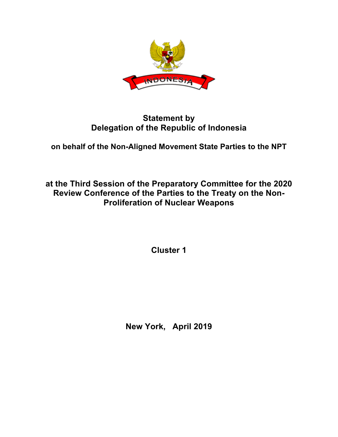

## **Statement by Delegation of the Republic of Indonesia**

**on behalf of the Non-Aligned Movement State Parties to the NPT**

**at the Third Session of the Preparatory Committee for the 2020 Review Conference of the Parties to the Treaty on the Non-Proliferation of Nuclear Weapons**

**Cluster 1**

**New York, April 2019**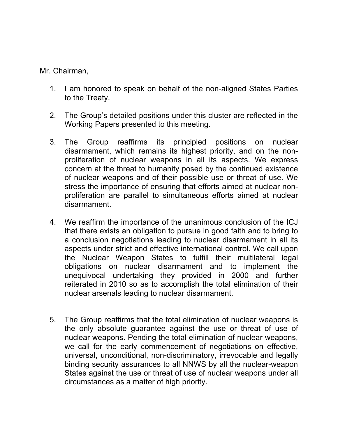Mr. Chairman,

- 1. I am honored to speak on behalf of the non-aligned States Parties to the Treaty.
- 2. The Group's detailed positions under this cluster are reflected in the Working Papers presented to this meeting.
- 3. The Group reaffirms its principled positions on nuclear disarmament, which remains its highest priority, and on the nonproliferation of nuclear weapons in all its aspects. We express concern at the threat to humanity posed by the continued existence of nuclear weapons and of their possible use or threat of use. We stress the importance of ensuring that efforts aimed at nuclear nonproliferation are parallel to simultaneous efforts aimed at nuclear disarmament.
- 4. We reaffirm the importance of the unanimous conclusion of the ICJ that there exists an obligation to pursue in good faith and to bring to a conclusion negotiations leading to nuclear disarmament in all its aspects under strict and effective international control. We call upon the Nuclear Weapon States to fulfill their multilateral legal obligations on nuclear disarmament and to implement the unequivocal undertaking they provided in 2000 and further reiterated in 2010 so as to accomplish the total elimination of their nuclear arsenals leading to nuclear disarmament.
- 5. The Group reaffirms that the total elimination of nuclear weapons is the only absolute guarantee against the use or threat of use of nuclear weapons. Pending the total elimination of nuclear weapons, we call for the early commencement of negotiations on effective, universal, unconditional, non-discriminatory, irrevocable and legally binding security assurances to all NNWS by all the nuclear-weapon States against the use or threat of use of nuclear weapons under all circumstances as a matter of high priority.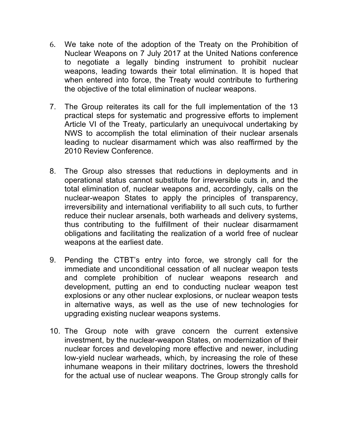- 6. We take note of the adoption of the Treaty on the Prohibition of Nuclear Weapons on 7 July 2017 at the United Nations conference to negotiate a legally binding instrument to prohibit nuclear weapons, leading towards their total elimination. It is hoped that when entered into force, the Treaty would contribute to furthering the objective of the total elimination of nuclear weapons.
- 7. The Group reiterates its call for the full implementation of the 13 practical steps for systematic and progressive efforts to implement Article VI of the Treaty, particularly an unequivocal undertaking by NWS to accomplish the total elimination of their nuclear arsenals leading to nuclear disarmament which was also reaffirmed by the 2010 Review Conference.
- 8. The Group also stresses that reductions in deployments and in operational status cannot substitute for irreversible cuts in, and the total elimination of, nuclear weapons and, accordingly, calls on the nuclear-weapon States to apply the principles of transparency, irreversibility and international verifiability to all such cuts, to further reduce their nuclear arsenals, both warheads and delivery systems, thus contributing to the fulfillment of their nuclear disarmament obligations and facilitating the realization of a world free of nuclear weapons at the earliest date.
- 9. Pending the CTBT's entry into force, we strongly call for the immediate and unconditional cessation of all nuclear weapon tests and complete prohibition of nuclear weapons research and development, putting an end to conducting nuclear weapon test explosions or any other nuclear explosions, or nuclear weapon tests in alternative ways, as well as the use of new technologies for upgrading existing nuclear weapons systems.
- 10. The Group note with grave concern the current extensive investment, by the nuclear-weapon States, on modernization of their nuclear forces and developing more effective and newer, including low-yield nuclear warheads, which, by increasing the role of these inhumane weapons in their military doctrines, lowers the threshold for the actual use of nuclear weapons. The Group strongly calls for